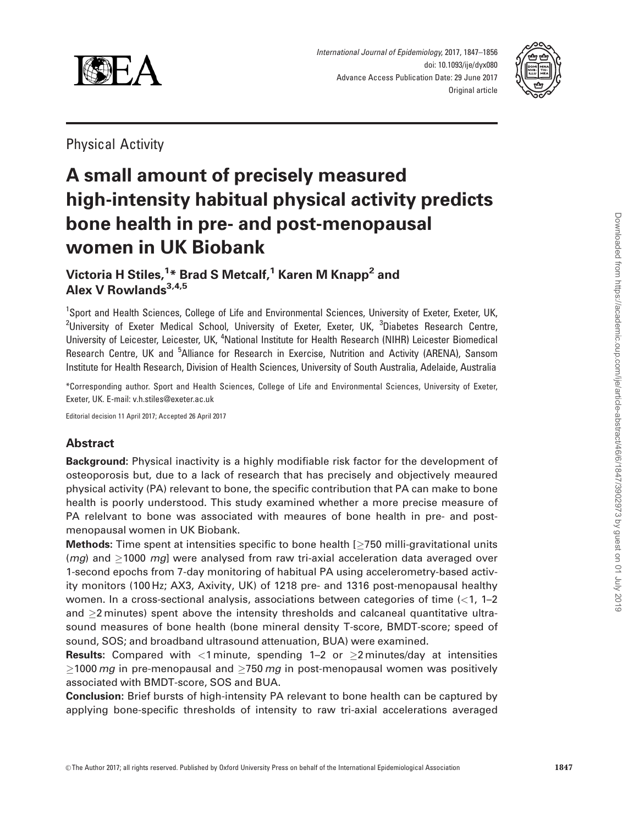

International Journal of Epidemiology, 2017, 1847–1856 doi: 10.1093/ije/dyx080 Advance Access Publication Date: 29 June 2017 Original article



Physical Activity

# A small amount of precisely measured high-intensity habitual physical activity predicts bone health in pre- and post-menopausal women in UK Biobank

Victoria H Stiles, <sup>1</sup>\* Brad S Metcalf, <sup>1</sup> Karen M Knapp<sup>2</sup> and Alex V Rowlands $3,4,5$ 

<sup>1</sup>Sport and Health Sciences, College of Life and Environmental Sciences, University of Exeter, Exeter, UK, <sup>2</sup>University of Exeter Medical School, University of Exeter, Exeter, UK, <sup>3</sup>Diabetes Research Centre, University of Leicester, Leicester, UK, <sup>4</sup>National Institute for Health Research (NIHR) Leicester Biomedical Research Centre, UK and <sup>5</sup>Alliance for Research in Exercise, Nutrition and Activity (ARENA), Sansom Institute for Health Research, Division of Health Sciences, University of South Australia, Adelaide, Australia

\*Corresponding author. Sport and Health Sciences, College of Life and Environmental Sciences, University of Exeter, Exeter, UK. E-mail: v.h.stiles@exeter.ac.uk

Editorial decision 11 April 2017; Accepted 26 April 2017

## Abstract

Background: Physical inactivity is a highly modifiable risk factor for the development of osteoporosis but, due to a lack of research that has precisely and objectively meaured physical activity (PA) relevant to bone, the specific contribution that PA can make to bone health is poorly understood. This study examined whether a more precise measure of PA relelvant to bone was associated with meaures of bone health in pre- and postmenopausal women in UK Biobank.

**Methods:** Time spent at intensities specific to bone health [ $\geq$ 750 milli-gravitational units (mg) and  $\geq$ 1000 mg] were analysed from raw tri-axial acceleration data averaged over 1-second epochs from 7-day monitoring of habitual PA using accelerometry-based activity monitors (100 Hz; AX3, Axivity, UK) of 1218 pre- and 1316 post-menopausal healthy women. In a cross-sectional analysis, associations between categories of time  $\left($  < 1, 1–2 and  $\geq$ 2 minutes) spent above the intensity thresholds and calcaneal quantitative ultrasound measures of bone health (bone mineral density T-score, BMDT-score; speed of sound, SOS; and broadband ultrasound attenuation, BUA) were examined.

**Results**: Compared with  $<$ 1 minute, spending 1–2 or  $\ge$ 2 $\,$ minutes/day at intensities  $\ge$ 1000 *mg* in pre-menopausal and  $\ge$ 750 *mg* in post-menopausal women was positively associated with BMDT-score, SOS and BUA.

Conclusion: Brief bursts of high-intensity PA relevant to bone health can be captured by applying bone-specific thresholds of intensity to raw tri-axial accelerations averaged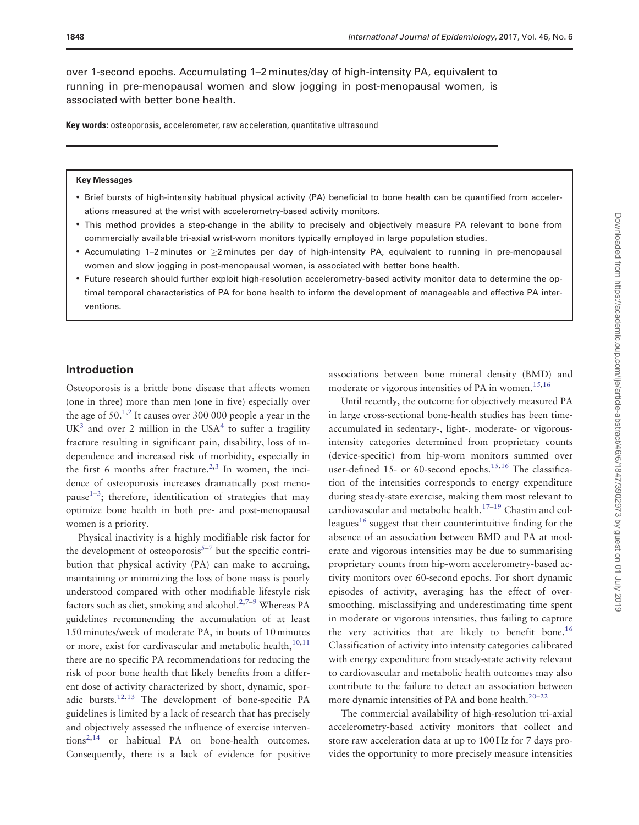over 1-second epochs. Accumulating 1–2 minutes/day of high-intensity PA, equivalent to running in pre-menopausal women and slow jogging in post-menopausal women, is associated with better bone health.

Key words: osteoporosis, accelerometer, raw acceleration, quantitative ultrasound

#### Key Messages

- Brief bursts of high-intensity habitual physical activity (PA) beneficial to bone health can be quantified from accelerations measured at the wrist with accelerometry-based activity monitors.
- This method provides a step-change in the ability to precisely and objectively measure PA relevant to bone from commercially available tri-axial wrist-worn monitors typically employed in large population studies.
- Accumulating 1–2 minutes or  $\geq$ 2 minutes per day of high-intensity PA, equivalent to running in pre-menopausal women and slow jogging in post-menopausal women, is associated with better bone health.
- Future research should further exploit high-resolution accelerometry-based activity monitor data to determine the optimal temporal characteristics of PA for bone health to inform the development of manageable and effective PA interventions.

## Introduction

Osteoporosis is a brittle bone disease that affects women (one in three) more than men (one in five) especially over the age of  $50<sup>1,2</sup>$  $50<sup>1,2</sup>$  $50<sup>1,2</sup>$  It causes over 300 000 people a year in the  $UK<sup>3</sup>$  and over 2 million in the USA<sup>[4](#page-8-0)</sup> to suffer a fragility fracture resulting in significant pain, disability, loss of independence and increased risk of morbidity, especially in the first 6 months after fracture.<sup>[2](#page-8-0),[3](#page-8-0)</sup> In women, the incidence of osteoporosis increases dramatically post meno-pause<sup>[1](#page-8-0)-[3](#page-8-0)</sup>; therefore, identification of strategies that may optimize bone health in both pre- and post-menopausal women is a priority.

Physical inactivity is a highly modifiable risk factor for the development of osteoporosis $5-7$  but the specific contribution that physical activity (PA) can make to accruing, maintaining or minimizing the loss of bone mass is poorly understood compared with other modifiable lifestyle risk factors such as diet, smoking and alcohol.<sup>2,[7–9](#page-8-0)</sup> Whereas PA guidelines recommending the accumulation of at least 150 minutes/week of moderate PA, in bouts of 10 minutes or more, exist for cardivascular and metabolic health, $10,11$ there are no specific PA recommendations for reducing the risk of poor bone health that likely benefits from a different dose of activity characterized by short, dynamic, sporadic bursts.[12,13](#page-8-0) The development of bone-specific PA guidelines is limited by a lack of research that has precisely and objectively assessed the influence of exercise interven- $tions^{2,14}$  $tions^{2,14}$  $tions^{2,14}$  or habitual PA on bone-health outcomes. Consequently, there is a lack of evidence for positive

associations between bone mineral density (BMD) and moderate or vigorous intensities of PA in women.<sup>[15](#page-8-0)[,16](#page-9-0)</sup>

Until recently, the outcome for objectively measured PA in large cross-sectional bone-health studies has been timeaccumulated in sedentary-, light-, moderate- or vigorousintensity categories determined from proprietary counts (device-specific) from hip-worn monitors summed over user-defined [15](#page-8-0)- or 60-second epochs.<sup>15[,16](#page-9-0)</sup> The classification of the intensities corresponds to energy expenditure during steady-state exercise, making them most relevant to cardiovascular and metabolic health[.17–19](#page-9-0) Chastin and col-leagues<sup>[16](#page-9-0)</sup> suggest that their counterintuitive finding for the absence of an association between BMD and PA at moderate and vigorous intensities may be due to summarising proprietary counts from hip-worn accelerometry-based activity monitors over 60-second epochs. For short dynamic episodes of activity, averaging has the effect of oversmoothing, misclassifying and underestimating time spent in moderate or vigorous intensities, thus failing to capture the very activities that are likely to benefit bone.<sup>[16](#page-9-0)</sup> Classification of activity into intensity categories calibrated with energy expenditure from steady-state activity relevant to cardiovascular and metabolic health outcomes may also contribute to the failure to detect an association between more dynamic intensities of PA and bone health.<sup>[20](#page-9-0)–[22](#page-9-0)</sup>

The commercial availability of high-resolution tri-axial accelerometry-based activity monitors that collect and store raw acceleration data at up to 100 Hz for 7 days provides the opportunity to more precisely measure intensities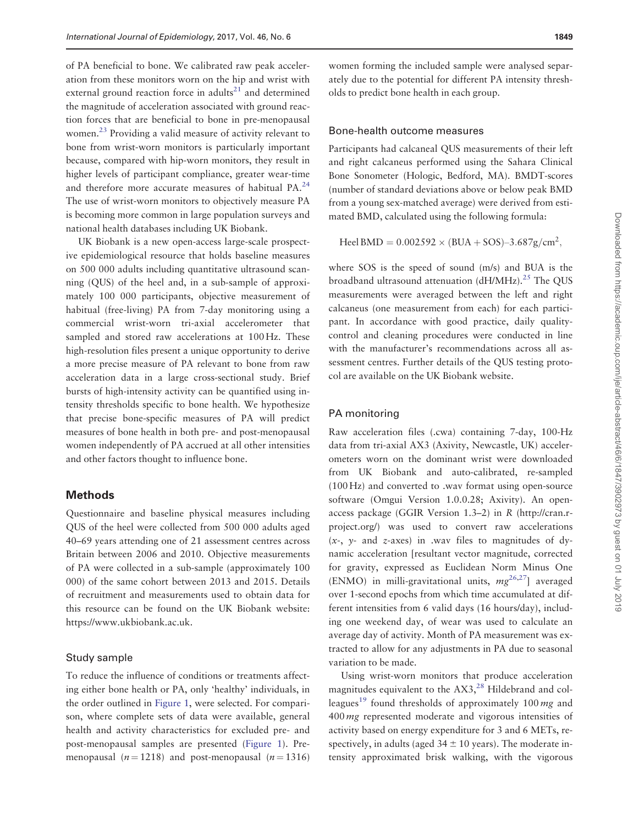of PA beneficial to bone. We calibrated raw peak acceleration from these monitors worn on the hip and wrist with external ground reaction force in adults<sup>[21](#page-9-0)</sup> and determined the magnitude of acceleration associated with ground reaction forces that are beneficial to bone in pre-menopausal women[.23](#page-9-0) Providing a valid measure of activity relevant to bone from wrist-worn monitors is particularly important because, compared with hip-worn monitors, they result in higher levels of participant compliance, greater wear-time and therefore more accurate measures of habitual PA.<sup>[24](#page-9-0)</sup> The use of wrist-worn monitors to objectively measure PA is becoming more common in large population surveys and national health databases including UK Biobank.

UK Biobank is a new open-access large-scale prospective epidemiological resource that holds baseline measures on 500 000 adults including quantitative ultrasound scanning (QUS) of the heel and, in a sub-sample of approximately 100 000 participants, objective measurement of habitual (free-living) PA from 7-day monitoring using a commercial wrist-worn tri-axial accelerometer that sampled and stored raw accelerations at 100 Hz. These high-resolution files present a unique opportunity to derive a more precise measure of PA relevant to bone from raw acceleration data in a large cross-sectional study. Brief bursts of high-intensity activity can be quantified using intensity thresholds specific to bone health. We hypothesize that precise bone-specific measures of PA will predict measures of bone health in both pre- and post-menopausal women independently of PA accrued at all other intensities and other factors thought to influence bone.

## **Methods**

Questionnaire and baseline physical measures including QUS of the heel were collected from 500 000 adults aged 40–69 years attending one of 21 assessment centres across Britain between 2006 and 2010. Objective measurements of PA were collected in a sub-sample (approximately 100 000) of the same cohort between 2013 and 2015. Details of recruitment and measurements used to obtain data for this resource can be found on the UK Biobank website: <https://www.ukbiobank.ac.uk>.

#### Study sample

To reduce the influence of conditions or treatments affecting either bone health or PA, only 'healthy' individuals, in the order outlined in [Figure 1](#page-3-0), were selected. For comparison, where complete sets of data were available, general health and activity characteristics for excluded pre- and post-menopausal samples are presented [\(Figure 1\)](#page-3-0). Premenopausal ( $n = 1218$ ) and post-menopausal ( $n = 1316$ )

women forming the included sample were analysed separately due to the potential for different PA intensity thresholds to predict bone health in each group.

#### Bone-health outcome measures

Participants had calcaneal QUS measurements of their left and right calcaneus performed using the Sahara Clinical Bone Sonometer (Hologic, Bedford, MA). BMDT-scores (number of standard deviations above or below peak BMD from a young sex-matched average) were derived from estimated BMD, calculated using the following formula:

Heel BMD = 
$$
0.002592 \times (BUA + SOS) - 3.687g/cm^2
$$
,

where SOS is the speed of sound (m/s) and BUA is the broadband ultrasound attenuation  $(dH/MHz)$ .<sup>25</sup> The OUS measurements were averaged between the left and right calcaneus (one measurement from each) for each participant. In accordance with good practice, daily qualitycontrol and cleaning procedures were conducted in line with the manufacturer's recommendations across all assessment centres. Further details of the QUS testing protocol are available on the UK Biobank website.

#### PA monitoring

Raw acceleration files (.cwa) containing 7-day, 100-Hz data from tri-axial AX3 (Axivity, Newcastle, UK) accelerometers worn on the dominant wrist were downloaded from UK Biobank and auto-calibrated, re-sampled (100 Hz) and converted to .wav format using open-source software (Omgui Version 1.0.0.28; Axivity). An openaccess package (GGIR Version 1.3–2) in R [\(http://cran.r](http://cran.r-project.org/)[project.org/](http://cran.r-project.org/)) was used to convert raw accelerations  $(x-$ ,  $y-$  and  $z-$ axes) in .wav files to magnitudes of dynamic acceleration [resultant vector magnitude, corrected for gravity, expressed as Euclidean Norm Minus One (ENMO) in milli-gravitational units,  $mg^{26,27}$  $mg^{26,27}$  $mg^{26,27}$  averaged over 1-second epochs from which time accumulated at different intensities from 6 valid days (16 hours/day), including one weekend day, of wear was used to calculate an average day of activity. Month of PA measurement was extracted to allow for any adjustments in PA due to seasonal variation to be made.

Using wrist-worn monitors that produce acceleration magnitudes equivalent to the  $AX3<sub>1</sub><sup>28</sup>$  $AX3<sub>1</sub><sup>28</sup>$  $AX3<sub>1</sub><sup>28</sup>$  Hildebrand and col-leagues<sup>[19](#page-9-0)</sup> found thresholds of approximately 100 mg and 400 mg represented moderate and vigorous intensities of activity based on energy expenditure for 3 and 6 METs, respectively, in adults (aged  $34 \pm 10$  years). The moderate intensity approximated brisk walking, with the vigorous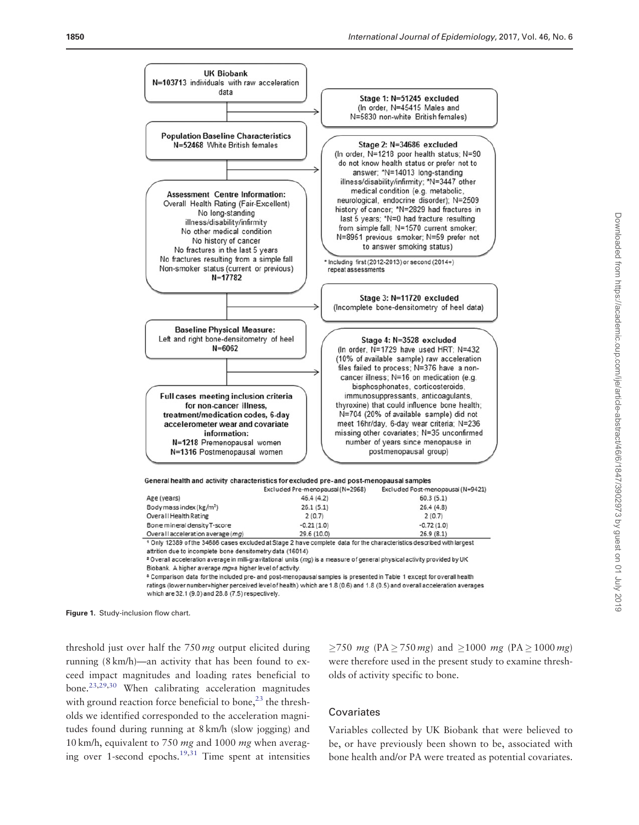<span id="page-3-0"></span>

Bone mineral density T-score  $-0.21(1.0)$  $-0.72(1.0)$ Overall acceleration average  $(mg)$ 29.6 (10.0)  $26.9(8.1)$ 1 Only 12389 of the 34686 cases excluded at Stage 2 have complete data for the characteristics described with largest attrition due to incomplete bone densitometry data (16014) <sup>2</sup> Overall acceleration average in milli-gravitational units (mg) is a measure of general physical activity provided by UK Biobank. A higher average mg=a higher level of activity.

<sup>3</sup> Comparison data for the included pre- and post-menopausal samples is presented in Table 1 except for overall health ratings (lower number=higher perceived level of health) which are 1.8 (0.6) and 1.8 (0.5) and overall acceleration averages which are 32.1 (9.0) and 28.8 (7.5) respectively.

Figure 1. Study-inclusion flow chart.

threshold just over half the  $750 \, mg$  output elicited during running (8 km/h)—an activity that has been found to exceed impact magnitudes and loading rates beneficial to bone.[23,29,30](#page-9-0) When calibrating acceleration magnitudes with ground reaction force beneficial to bone,<sup>[23](#page-9-0)</sup> the thresholds we identified corresponded to the acceleration magnitudes found during running at 8 km/h (slow jogging) and 10 km/h, equivalent to 750  $mg$  and 1000  $mg$  when averaging over 1-second epochs.<sup>19,31</sup> Time spent at intensities

 $\geq$ 750 mg (PA $\geq$ 750 mg) and  $\geq$ 1000 mg (PA $\geq$ 1000 mg) were therefore used in the present study to examine thresholds of activity specific to bone.

#### Covariates

Variables collected by UK Biobank that were believed to be, or have previously been shown to be, associated with bone health and/or PA were treated as potential covariates.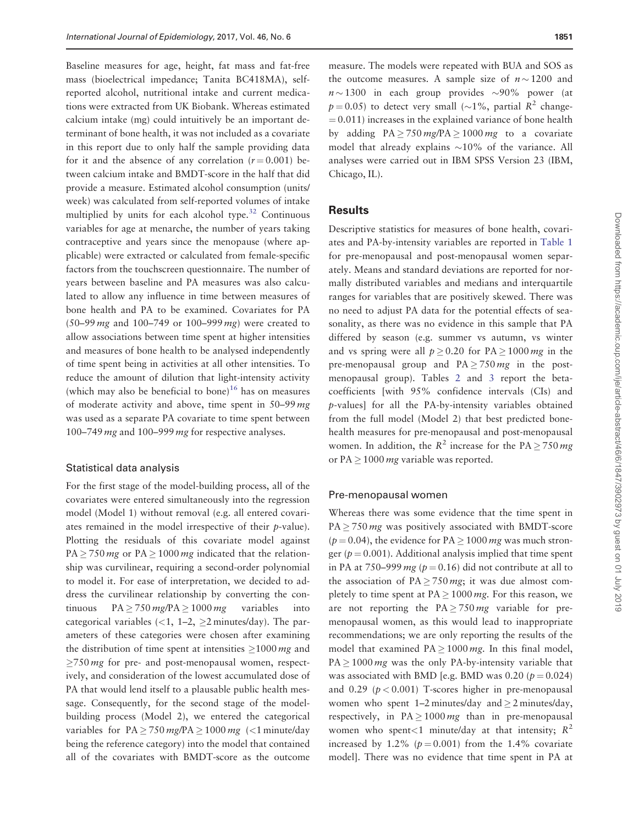Baseline measures for age, height, fat mass and fat-free mass (bioelectrical impedance; Tanita BC418MA), selfreported alcohol, nutritional intake and current medications were extracted from UK Biobank. Whereas estimated calcium intake (mg) could intuitively be an important determinant of bone health, it was not included as a covariate in this report due to only half the sample providing data for it and the absence of any correlation  $(r = 0.001)$  between calcium intake and BMDT-score in the half that did provide a measure. Estimated alcohol consumption (units/ week) was calculated from self-reported volumes of intake multiplied by units for each alcohol type.<sup>[32](#page-9-0)</sup> Continuous variables for age at menarche, the number of years taking contraceptive and years since the menopause (where applicable) were extracted or calculated from female-specific factors from the touchscreen questionnaire. The number of years between baseline and PA measures was also calculated to allow any influence in time between measures of bone health and PA to be examined. Covariates for PA (50–99  $mg$  and 100–749 or 100–999  $mg$ ) were created to allow associations between time spent at higher intensities and measures of bone health to be analysed independently of time spent being in activities at all other intensities. To reduce the amount of dilution that light-intensity activity (which may also be beneficial to bone)<sup>16</sup> has on measures of moderate activity and above, time spent in 50–99 mg was used as a separate PA covariate to time spent between 100–749 mg and 100–999 mg for respective analyses.

#### Statistical data analysis

For the first stage of the model-building process, all of the covariates were entered simultaneously into the regression model (Model 1) without removal (e.g. all entered covariates remained in the model irrespective of their p-value). Plotting the residuals of this covariate model against PA  $\geq$  750 mg or PA  $\geq$  1000 mg indicated that the relationship was curvilinear, requiring a second-order polynomial to model it. For ease of interpretation, we decided to address the curvilinear relationship by converting the continuous  $\geq$  750 mg/PA  $\geq$  1000 mg variables into categorical variables  $\left( < 1, 1 - 2, \geq 2 \right)$  minutes/day). The parameters of these categories were chosen after examining the distribution of time spent at intensities  $\geq$ 1000 mg and  $\geq$ 750 mg for pre- and post-menopausal women, respectively, and consideration of the lowest accumulated dose of PA that would lend itself to a plausable public health message. Consequently, for the second stage of the modelbuilding process (Model 2), we entered the categorical variables for  $PA \ge 750 \, mg/PA \ge 1000 \, mg$  (<1 minute/day being the reference category) into the model that contained all of the covariates with BMDT-score as the outcome

measure. The models were repeated with BUA and SOS as the outcome measures. A sample size of  $n \sim 1200$  and  $n \sim 1300$  in each group provides  $\sim 90\%$  power (at  $p = 0.05$ ) to detect very small (~1%, partial  $R^2$  change- $= 0.011$ ) increases in the explained variance of bone health by adding  $PA \ge 750 \, mg/PA \ge 1000 \, mg$  to a covariate model that already explains  $\sim$ 10% of the variance. All analyses were carried out in IBM SPSS Version 23 (IBM, Chicago, IL).

## **Results**

Descriptive statistics for measures of bone health, covariates and PA-by-intensity variables are reported in [Table 1](#page-5-0) for pre-menopausal and post-menopausal women separately. Means and standard deviations are reported for normally distributed variables and medians and interquartile ranges for variables that are positively skewed. There was no need to adjust PA data for the potential effects of seasonality, as there was no evidence in this sample that PA differed by season (e.g. summer vs autumn, vs winter and vs spring were all  $p \ge 0.20$  for PA  $\ge 1000$  mg in the pre-menopausal group and  $PA \ge 750 \, mg$  in the postmenopausal group). Tables [2](#page-6-0) and [3](#page-6-0) report the betacoefficients [with 95% confidence intervals (CIs) and p-values] for all the PA-by-intensity variables obtained from the full model (Model 2) that best predicted bonehealth measures for pre-menopausal and post-menopausal women. In addition, the  $R^2$  increase for the PA  $\geq$  750 mg or  $PA \geq 1000$  *mg* variable was reported.

#### Pre-menopausal women

Whereas there was some evidence that the time spent in  $PA \ge 750 mg$  was positively associated with BMDT-score ( $p = 0.04$ ), the evidence for PA  $\geq 1000$  *mg* was much stronger ( $p = 0.001$ ). Additional analysis implied that time spent in PA at 750–999 mg ( $p = 0.16$ ) did not contribute at all to the association of  $PA \ge 750 \, mg$ ; it was due almost completely to time spent at  $PA \geq 1000 \, mg$ . For this reason, we are not reporting the  $PA \ge 750 \, mg$  variable for premenopausal women, as this would lead to inappropriate recommendations; we are only reporting the results of the model that examined  $PA \ge 1000 mg$ . In this final model,  $PA \geq 1000 mg$  was the only PA-by-intensity variable that was associated with BMD [e.g. BMD was 0.20  $(p = 0.024)$ ] and 0.29 ( $p < 0.001$ ) T-scores higher in pre-menopausal women who spent 1–2 minutes/day and  $\geq$  2 minutes/day, respectively, in  $PA \ge 1000 mg$  than in pre-menopausal women who spent<1 minute/day at that intensity;  $R^2$ increased by 1.2% ( $p = 0.001$ ) from the 1.4% covariate model]. There was no evidence that time spent in PA at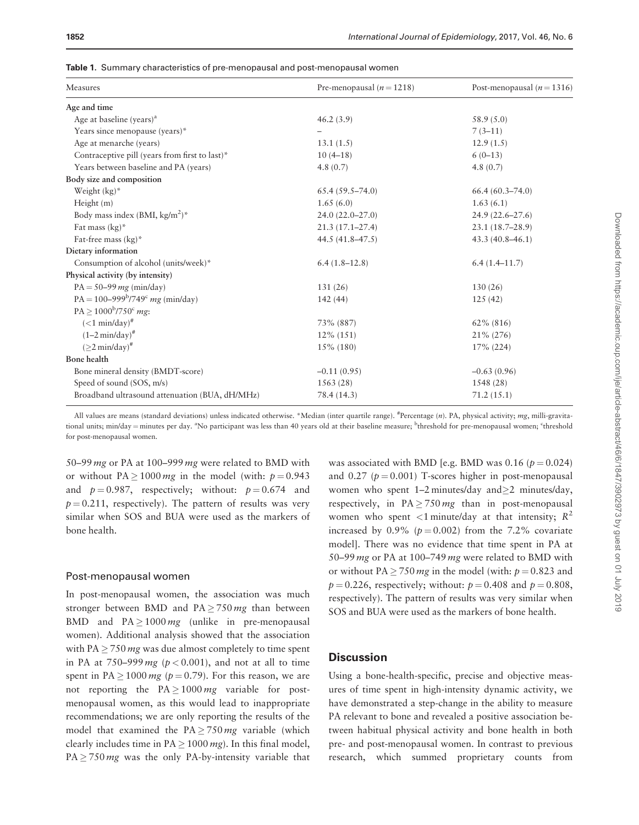<span id="page-5-0"></span>Table 1. Summary characteristics of pre-menopausal and post-menopausal women

| Measures                                       | Pre-menopausal ( $n = 1218$ ) | Post-menopausal ( $n = 1316$ ) |  |
|------------------------------------------------|-------------------------------|--------------------------------|--|
| Age and time                                   |                               |                                |  |
| Age at baseline (years) <sup>a</sup>           | 46.2(3.9)                     | 58.9(5.0)                      |  |
| Years since menopause (years)*                 |                               | $7(3-11)$                      |  |
| Age at menarche (years)                        | 13.1(1.5)                     | 12.9(1.5)                      |  |
| Contraceptive pill (years from first to last)* | $10(4-18)$                    | $6(0-13)$                      |  |
| Years between baseline and PA (years)          | 4.8(0.7)                      | 4.8(0.7)                       |  |
| Body size and composition                      |                               |                                |  |
| Weight $(kg)^*$                                | $65.4(59.5 - 74.0)$           | $66.4(60.3 - 74.0)$            |  |
| Height $(m)$                                   | 1.65(6.0)                     | 1.63(6.1)                      |  |
| Body mass index (BMI, kg/m <sup>2</sup> )*     | 24.0 (22.0-27.0)              | $24.9(22.6 - 27.6)$            |  |
| Fat mass $(kg)^*$                              | $21.3(17.1 - 27.4)$           | 23.1(18.7–28.9)                |  |
| Fat-free mass (kg)*                            | 44.5 (41.8-47.5)              | 43.3 (40.8-46.1)               |  |
| Dietary information                            |                               |                                |  |
| Consumption of alcohol (units/week)*           | $6.4(1.8-12.8)$               | 6.4(1.4–11.7)                  |  |
| Physical activity (by intensity)               |                               |                                |  |
| $PA = 50-99 mg$ (min/day)                      | 131(26)                       | 130(26)                        |  |
| PA = $100-999^{b}/749^{c}$ mg (min/day)        | 142 (44)                      | 125(42)                        |  |
| $PA \ge 1000^b/750^c$ mg:                      |                               |                                |  |
| $(<1$ min/day) <sup>#</sup>                    | 73% (887)                     | $62\%$ (816)                   |  |
| $(1-2 min/day)^*$                              | $12\%$ (151)                  | 21% (276)                      |  |
| $(>2 min/day)^{\#}$                            | 15% (180)                     | 17% (224)                      |  |
| Bone health                                    |                               |                                |  |
| Bone mineral density (BMDT-score)              | $-0.11(0.95)$                 | $-0.63(0.96)$                  |  |
| Speed of sound (SOS, m/s)                      | 1563(28)                      | 1548 (28)                      |  |
| Broadband ultrasound attenuation (BUA, dH/MHz) | 78.4 (14.3)                   | 71.2(15.1)                     |  |

All values are means (standard deviations) unless indicated otherwise. \*Median (inter quartile range). \*Percentage (n). PA, physical activity; mg, milli-gravitational units; min/day = minutes per day. <sup>a</sup>No participant was less than 40 years old at their baseline measure; <sup>b</sup>threshold for pre-menopausal women; <sup>c</sup>threshold for post-menopausal women.

50–99 mg or PA at 100–999 mg were related to BMD with or without  $PA \ge 1000 mg$  in the model (with:  $p = 0.943$ and  $p = 0.987$ , respectively; without:  $p = 0.674$  and  $p = 0.211$ , respectively). The pattern of results was very similar when SOS and BUA were used as the markers of bone health.

#### Post-menopausal women

In post-menopausal women, the association was much stronger between BMD and PA $\geq$ 750 $mg$  than between BMD and  $PA \ge 1000 mg$  (unlike in pre-menopausal women). Additional analysis showed that the association with PA  $\geq$  750 mg was due almost completely to time spent in PA at  $750-999mg (p < 0.001)$ , and not at all to time spent in  $PA \ge 1000 \, mg$  ( $p = 0.79$ ). For this reason, we are not reporting the  $PA \ge 1000 \, mg$  variable for postmenopausal women, as this would lead to inappropriate recommendations; we are only reporting the results of the model that examined the  $PA \ge 750 mg$  variable (which clearly includes time in  $PA \ge 1000 \, mg$ ). In this final model,  $PA \ge 750 \, mg$  was the only PA-by-intensity variable that

was associated with BMD [e.g. BMD was 0.16 ( $p = 0.024$ ) and 0.27 ( $p = 0.001$ ) T-scores higher in post-menopausal women who spent  $1-2$  minutes/day and  $\geq 2$  minutes/day, respectively, in  $PA \ge 750 mg$  than in post-menopausal women who spent <1 minute/day at that intensity;  $R^2$ increased by 0.9% ( $p = 0.002$ ) from the 7.2% covariate model]. There was no evidence that time spent in PA at 50–99 mg or PA at 100–749 mg were related to BMD with or without PA  $\geq$  750 *mg* in the model (with:  $p = 0.823$  and  $p = 0.226$ , respectively; without:  $p = 0.408$  and  $p = 0.808$ , respectively). The pattern of results was very similar when SOS and BUA were used as the markers of bone health.

## **Discussion**

Using a bone-health-specific, precise and objective measures of time spent in high-intensity dynamic activity, we have demonstrated a step-change in the ability to measure PA relevant to bone and revealed a positive association between habitual physical activity and bone health in both pre- and post-menopausal women. In contrast to previous research, which summed proprietary counts from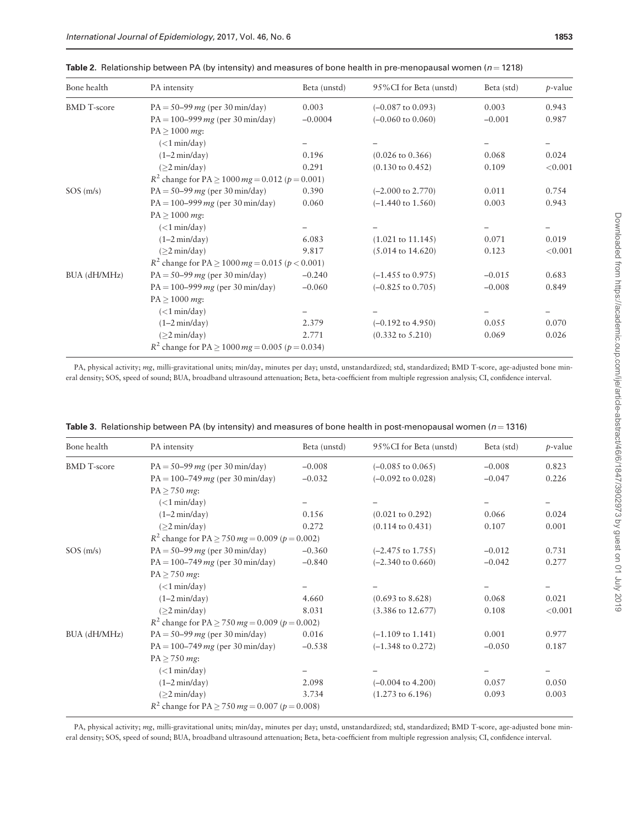| Bone health        | PA intensity                                           | Beta (unstd) | 95%CI for Beta (unstd)       | Beta (std) | $p$ -value |  |
|--------------------|--------------------------------------------------------|--------------|------------------------------|------------|------------|--|
| <b>BMD</b> T-score | PA = $50-99$ mg (per 30 min/day)                       | 0.003        | $(-0.087 \text{ to } 0.093)$ | 0.003      | 0.943      |  |
|                    | $PA = 100 - 999 mg$ (per 30 min/day)                   | $-0.0004$    | $(-0.060 \text{ to } 0.060)$ | $-0.001$   | 0.987      |  |
|                    | $PA > 1000 mg$ :                                       |              |                              |            |            |  |
|                    | (<1 min/day)                                           |              |                              |            |            |  |
|                    | $(1-2 min/day)$                                        | 0.196        | $(0.026 \text{ to } 0.366)$  | 0.068      | 0.024      |  |
|                    | (>2 min/day)                                           | 0.291        | $(0.130 \text{ to } 0.452)$  | 0.109      | < 0.001    |  |
|                    | $R^2$ change for PA $\geq$ 1000 mg = 0.012 (p = 0.001) |              |                              |            |            |  |
| $SOS$ (m/s)        | $PA = 50-99 mg$ (per 30 min/day)                       | 0.390        | $(-2.000 \text{ to } 2.770)$ | 0.011      | 0.754      |  |
|                    | $PA = 100 - 999 mg$ (per 30 min/day)                   | 0.060        | $(-1.440 \text{ to } 1.560)$ | 0.003      | 0.943      |  |
|                    | $PA \geq 1000$ mg:                                     |              |                              |            |            |  |
|                    | (<1 min/day)                                           |              |                              |            |            |  |
|                    | $(1-2 min/day)$                                        | 6.083        | $(1.021 \text{ to } 11.145)$ | 0.071      | 0.019      |  |
|                    | (>2 min/day)                                           | 9.817        | $(5.014 \text{ to } 14.620)$ | 0.123      | < 0.001    |  |
|                    | $R^2$ change for PA $\geq 1000$ mg = 0.015 (p < 0.001) |              |                              |            |            |  |
| BUA (dH/MHz)       | PA = $50 - 99 mg$ (per 30 min/day)                     | $-0.240$     | $(-1.455 \text{ to } 0.975)$ | $-0.015$   | 0.683      |  |
|                    | $PA = 100 - 999 mg$ (per 30 min/day)                   | $-0.060$     | $(-0.825 \text{ to } 0.705)$ | $-0.008$   | 0.849      |  |
|                    | $PA > 1000 mg$ :                                       |              |                              |            |            |  |
|                    | (<1 min/day)                                           |              |                              |            |            |  |
|                    | $(1-2 min/day)$                                        | 2.379        | $(-0.192 \text{ to } 4.950)$ | 0.055      | 0.070      |  |
|                    | (>2 min/day)                                           | 2.771        | $(0.332 \text{ to } 5.210)$  | 0.069      | 0.026      |  |
|                    | $R^2$ change for PA $\geq$ 1000 mg = 0.005 (p = 0.034) |              |                              |            |            |  |

<span id="page-6-0"></span>Table 2. Relationship between PA (by intensity) and measures of bone health in pre-menopausal women ( $n = 1218$ )

PA, physical activity; mg, milli-gravitational units; min/day, minutes per day; unstd, unstandardized; std, standardized; BMD T-score, age-adjusted bone mineral density; SOS, speed of sound; BUA, broadband ultrasound attenuation; Beta, beta-coefficient from multiple regression analysis; CI, confidence interval.

| Bone health        | PA intensity                                          | Beta (unstd) | 95%CI for Beta (unstd)       | Beta (std) | $p$ -value |  |  |
|--------------------|-------------------------------------------------------|--------------|------------------------------|------------|------------|--|--|
| <b>BMD</b> T-score | $PA = 50 - 99 mg$ (per 30 min/day)                    | $-0.008$     | $(-0.085 \text{ to } 0.065)$ | $-0.008$   | 0.823      |  |  |
|                    | $PA = 100-749 mg$ (per 30 min/day)                    | $-0.032$     | $(-0.092 \text{ to } 0.028)$ | $-0.047$   | 0.226      |  |  |
|                    | $PA \geq 750$ mg:                                     |              |                              |            |            |  |  |
|                    | (<1 min/day)                                          |              |                              |            |            |  |  |
|                    | $(1-2 min/day)$                                       | 0.156        | $(0.021 \text{ to } 0.292)$  | 0.066      | 0.024      |  |  |
|                    | (>2 min/day)                                          | 0.272        | $(0.114 \text{ to } 0.431)$  | 0.107      | 0.001      |  |  |
|                    | $R^2$ change for PA > 750 mg = 0.009 (p = 0.002)      |              |                              |            |            |  |  |
| SOS(m/s)           | $PA = 50 - 99 mg$ (per 30 min/day)                    | $-0.360$     | $(-2.475 \text{ to } 1.755)$ | $-0.012$   | 0.731      |  |  |
|                    | $PA = 100-749 mg$ (per 30 min/day)                    | $-0.840$     | $(-2.340 \text{ to } 0.660)$ | $-0.042$   | 0.277      |  |  |
|                    | $PA > 750 mg$ :                                       |              |                              |            |            |  |  |
|                    | (<1 min/day)                                          |              |                              |            |            |  |  |
|                    | $(1-2 min/day)$                                       | 4.660        | $(0.693 \text{ to } 8.628)$  | 0.068      | 0.021      |  |  |
|                    | (>2 min/day)                                          | 8.031        | $(3.386 \text{ to } 12.677)$ | 0.108      | < 0.001    |  |  |
|                    | $R^2$ change for PA $\geq$ 750 mg = 0.009 (p = 0.002) |              |                              |            |            |  |  |
| BUA (dH/MHz)       | $PA = 50-99 mg$ (per 30 min/day)                      | 0.016        | $(-1.109 \text{ to } 1.141)$ | 0.001      | 0.977      |  |  |
|                    | $PA = 100-749 mg$ (per 30 min/day)                    | $-0.538$     | $(-1.348 \text{ to } 0.272)$ | $-0.050$   | 0.187      |  |  |
|                    | $PA > 750 mg$ :                                       |              |                              |            |            |  |  |
|                    | $(<1$ min/day)                                        |              |                              |            |            |  |  |
|                    | $(1-2 min/day)$                                       | 2.098        | $(-0.004 \text{ to } 4.200)$ | 0.057      | 0.050      |  |  |
|                    | (>2 min/day)                                          | 3.734        | $(1.273 \text{ to } 6.196)$  | 0.093      | 0.003      |  |  |
|                    | $R^2$ change for PA $\geq$ 750 mg = 0.007 (p = 0.008) |              |                              |            |            |  |  |

Table 3. Relationship between PA (by intensity) and measures of bone health in post-menopausal women ( $n = 1316$ )

PA, physical activity; mg, milli-gravitational units; min/day, minutes per day; unstd, unstandardized; std, standardized; BMD T-score, age-adjusted bone mineral density; SOS, speed of sound; BUA, broadband ultrasound attenuation; Beta, beta-coefficient from multiple regression analysis; CI, confidence interval.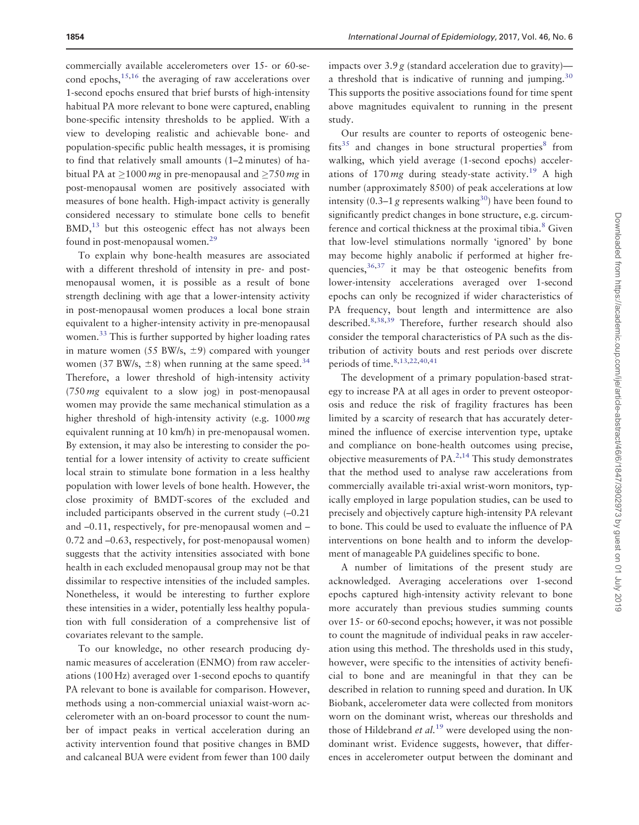commercially available accelerometers over 15- or 60-second epochs, $15,16$  $15,16$  the averaging of raw accelerations over 1-second epochs ensured that brief bursts of high-intensity habitual PA more relevant to bone were captured, enabling bone-specific intensity thresholds to be applied. With a view to developing realistic and achievable bone- and population-specific public health messages, it is promising to find that relatively small amounts (1–2 minutes) of habitual PA at  $\geq$ 1000 mg in pre-menopausal and  $\geq$ 750 mg in post-menopausal women are positively associated with measures of bone health. High-impact activity is generally considered necessary to stimulate bone cells to benefit  $BMD<sub>13</sub>$  $BMD<sub>13</sub>$  $BMD<sub>13</sub>$  but this osteogenic effect has not always been found in post-menopausal women.<sup>[29](#page-9-0)</sup>

To explain why bone-health measures are associated with a different threshold of intensity in pre- and postmenopausal women, it is possible as a result of bone strength declining with age that a lower-intensity activity in post-menopausal women produces a local bone strain equivalent to a higher-intensity activity in pre-menopausal women[.33](#page-9-0) This is further supported by higher loading rates in mature women (55 BW/s,  $\pm$ 9) compared with younger women (37 BW/s,  $\pm$ 8) when running at the same speed.<sup>34</sup> Therefore, a lower threshold of high-intensity activity  $(750 \, mg$  equivalent to a slow jog) in post-menopausal women may provide the same mechanical stimulation as a higher threshold of high-intensity activity (e.g. 1000 mg) equivalent running at 10 km/h) in pre-menopausal women. By extension, it may also be interesting to consider the potential for a lower intensity of activity to create sufficient local strain to stimulate bone formation in a less healthy population with lower levels of bone health. However, the close proximity of BMDT-scores of the excluded and included participants observed in the current study (–0.21 and –0.11, respectively, for pre-menopausal women and – 0.72 and –0.63, respectively, for post-menopausal women) suggests that the activity intensities associated with bone health in each excluded menopausal group may not be that dissimilar to respective intensities of the included samples. Nonetheless, it would be interesting to further explore these intensities in a wider, potentially less healthy population with full consideration of a comprehensive list of covariates relevant to the sample.

To our knowledge, no other research producing dynamic measures of acceleration (ENMO) from raw accelerations (100 Hz) averaged over 1-second epochs to quantify PA relevant to bone is available for comparison. However, methods using a non-commercial uniaxial waist-worn accelerometer with an on-board processor to count the number of impact peaks in vertical acceleration during an activity intervention found that positive changes in BMD and calcaneal BUA were evident from fewer than 100 daily

impacts over  $3.9 g$  (standard acceleration due to gravity) a threshold that is indicative of running and jumping. $30$ This supports the positive associations found for time spent above magnitudes equivalent to running in the present study.

Our results are counter to reports of osteogenic benefits $35$  and changes in bone structural properties $8$  from walking, which yield average (1-second epochs) accelerations of  $170 \, mg$  during steady-state activity.<sup>19</sup> A high number (approximately 8500) of peak accelerations at low intensity (0.3–1 g represents walking<sup>30</sup>) have been found to significantly predict changes in bone structure, e.g. circum-ference and cortical thickness at the proximal tibia.<sup>[8](#page-8-0)</sup> Given that low-level stimulations normally 'ignored' by bone may become highly anabolic if performed at higher frequencies,  $36,37$  it may be that osteogenic benefits from lower-intensity accelerations averaged over 1-second epochs can only be recognized if wider characteristics of PA frequency, bout length and intermittence are also described[.8,](#page-8-0)[38,39](#page-9-0) Therefore, further research should also consider the temporal characteristics of PA such as the distribution of activity bouts and rest periods over discrete periods of time.<sup>[8](#page-8-0),[13,](#page-8-0)[22,40,41](#page-9-0)</sup>

The development of a primary population-based strategy to increase PA at all ages in order to prevent osteoporosis and reduce the risk of fragility fractures has been limited by a scarcity of research that has accurately determined the influence of exercise intervention type, uptake and compliance on bone-health outcomes using precise, objective measurements of PA.[2,14](#page-8-0) This study demonstrates that the method used to analyse raw accelerations from commercially available tri-axial wrist-worn monitors, typically employed in large population studies, can be used to precisely and objectively capture high-intensity PA relevant to bone. This could be used to evaluate the influence of PA interventions on bone health and to inform the development of manageable PA guidelines specific to bone.

A number of limitations of the present study are acknowledged. Averaging accelerations over 1-second epochs captured high-intensity activity relevant to bone more accurately than previous studies summing counts over 15- or 60-second epochs; however, it was not possible to count the magnitude of individual peaks in raw acceleration using this method. The thresholds used in this study, however, were specific to the intensities of activity beneficial to bone and are meaningful in that they can be described in relation to running speed and duration. In UK Biobank, accelerometer data were collected from monitors worn on the dominant wrist, whereas our thresholds and those of Hildebrand *et al.*<sup>[19](#page-9-0)</sup> were developed using the nondominant wrist. Evidence suggests, however, that differences in accelerometer output between the dominant and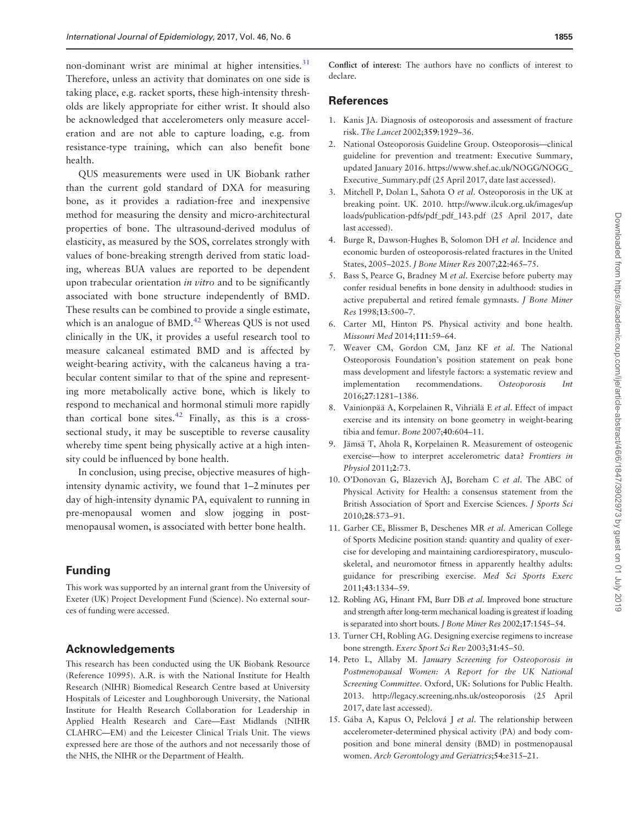<span id="page-8-0"></span>non-dominant wrist are minimal at higher intensities.<sup>[31](#page-9-0)</sup> Therefore, unless an activity that dominates on one side is taking place, e.g. racket sports, these high-intensity thresholds are likely appropriate for either wrist. It should also be acknowledged that accelerometers only measure acceleration and are not able to capture loading, e.g. from resistance-type training, which can also benefit bone health.

QUS measurements were used in UK Biobank rather than the current gold standard of DXA for measuring bone, as it provides a radiation-free and inexpensive method for measuring the density and micro-architectural properties of bone. The ultrasound-derived modulus of elasticity, as measured by the SOS, correlates strongly with values of bone-breaking strength derived from static loading, whereas BUA values are reported to be dependent upon trabecular orientation in vitro and to be significantly associated with bone structure independently of BMD. These results can be combined to provide a single estimate, which is an analogue of BMD.<sup>42</sup> Whereas QUS is not used clinically in the UK, it provides a useful research tool to measure calcaneal estimated BMD and is affected by weight-bearing activity, with the calcaneus having a trabecular content similar to that of the spine and representing more metabolically active bone, which is likely to respond to mechanical and hormonal stimuli more rapidly than cortical bone sites. $42$  Finally, as this is a crosssectional study, it may be susceptible to reverse causality whereby time spent being physically active at a high intensity could be influenced by bone health.

In conclusion, using precise, objective measures of highintensity dynamic activity, we found that 1–2 minutes per day of high-intensity dynamic PA, equivalent to running in pre-menopausal women and slow jogging in postmenopausal women, is associated with better bone health.

## Funding

This work was supported by an internal grant from the University of Exeter (UK) Project Development Fund (Science). No external sources of funding were accessed.

## Acknowledgements

This research has been conducted using the UK Biobank Resource (Reference 10995). A.R. is with the National Institute for Health Research (NIHR) Biomedical Research Centre based at University Hospitals of Leicester and Loughborough University, the National Institute for Health Research Collaboration for Leadership in Applied Health Research and Care—East Midlands (NIHR CLAHRC—EM) and the Leicester Clinical Trials Unit. The views expressed here are those of the authors and not necessarily those of the NHS, the NIHR or the Department of Health.

Conflict of interest: The authors have no conflicts of interest to declare.

## **References**

- 1. Kanis JA. Diagnosis of osteoporosis and assessment of fracture risk. The Lancet 2002;359:1929–36.
- 2. National Osteoporosis Guideline Group. Osteoporosis—clinical guideline for prevention and treatment: Executive Summary, updated January 2016. [https://www.shef.ac.uk/NOGG/NOGG\\_](https://www.shef.ac.uk/NOGG/NOGG_Executive_Summary.pdf) [Executive\\_Summary.pdf](https://www.shef.ac.uk/NOGG/NOGG_Executive_Summary.pdf) (25 April 2017, date last accessed).
- 3. Mitchell P, Dolan L, Sahota O et al. Osteoporosis in the UK at breaking point. UK. 2010. [http://www.ilcuk.org.uk/images/up](http://www.ilcuk.org.uk/images/uploads/publication-pdfs/pdf_pdf_143.pdf) [loads/publication-pdfs/pdf\\_pdf\\_143.pdf](http://www.ilcuk.org.uk/images/uploads/publication-pdfs/pdf_pdf_143.pdf) (25 April 2017, date last accessed).
- 4. Burge R, Dawson-Hughes B, Solomon DH et al. Incidence and economic burden of osteoporosis-related fractures in the United States, 2005–2025. J Bone Miner Res 2007;22:465–75.
- 5. Bass S, Pearce G, Bradney M et al. Exercise before puberty may confer residual benefits in bone density in adulthood: studies in active prepubertal and retired female gymnasts. J Bone Miner Res 1998;13:500–7.
- 6. Carter MI, Hinton PS. Physical activity and bone health. Missouri Med 2014;111:59–64.
- 7. Weaver CM, Gordon CM, Janz KF et al. The National Osteoporosis Foundation's position statement on peak bone mass development and lifestyle factors: a systematic review and implementation recommendations. Osteoporosis Int 2016;27:1281–1386.
- 8. Vainionpää A, Korpelainen R, Vihriälä E et al. Effect of impact exercise and its intensity on bone geometry in weight-bearing tibia and femur. Bone 2007;40:604–11.
- 9. Jämsä T, Ahola R, Korpelainen R. Measurement of osteogenic exercise—how to interpret accelerometric data? Frontiers in Physiol 2011;2:73.
- 10. O'Donovan G, Blazevich AJ, Boreham C et al. The ABC of Physical Activity for Health: a consensus statement from the British Association of Sport and Exercise Sciences. J Sports Sci 2010;28:573–91.
- 11. Garber CE, Blissmer B, Deschenes MR et al. American College of Sports Medicine position stand: quantity and quality of exercise for developing and maintaining cardiorespiratory, musculoskeletal, and neuromotor fitness in apparently healthy adults: guidance for prescribing exercise. Med Sci Sports Exerc 2011;43:1334–59.
- 12. Robling AG, Hinant FM, Burr DB et al. Improved bone structure and strength after long-term mechanical loading is greatest if loading is separated into short bouts. J Bone Miner Res 2002;17:1545–54.
- 13. Turner CH, Robling AG. Designing exercise regimens to increase bone strength. Exerc Sport Sci Rev 2003;31:45–50.
- 14. Peto L, Allaby M. January Screening for Osteoporosis in Postmenopausal Women: A Report for the UK National Screening Committee. Oxford, UK: Solutions for Public Health. 2013.<http://legacy.screening.nhs.uk/osteoporosis> (25 April 2017, date last accessed).
- 15. Gába A, Kapus O, Pelclová J et al. The relationship between accelerometer-determined physical activity (PA) and body composition and bone mineral density (BMD) in postmenopausal women. Arch Gerontology and Geriatrics;54:e315–21.